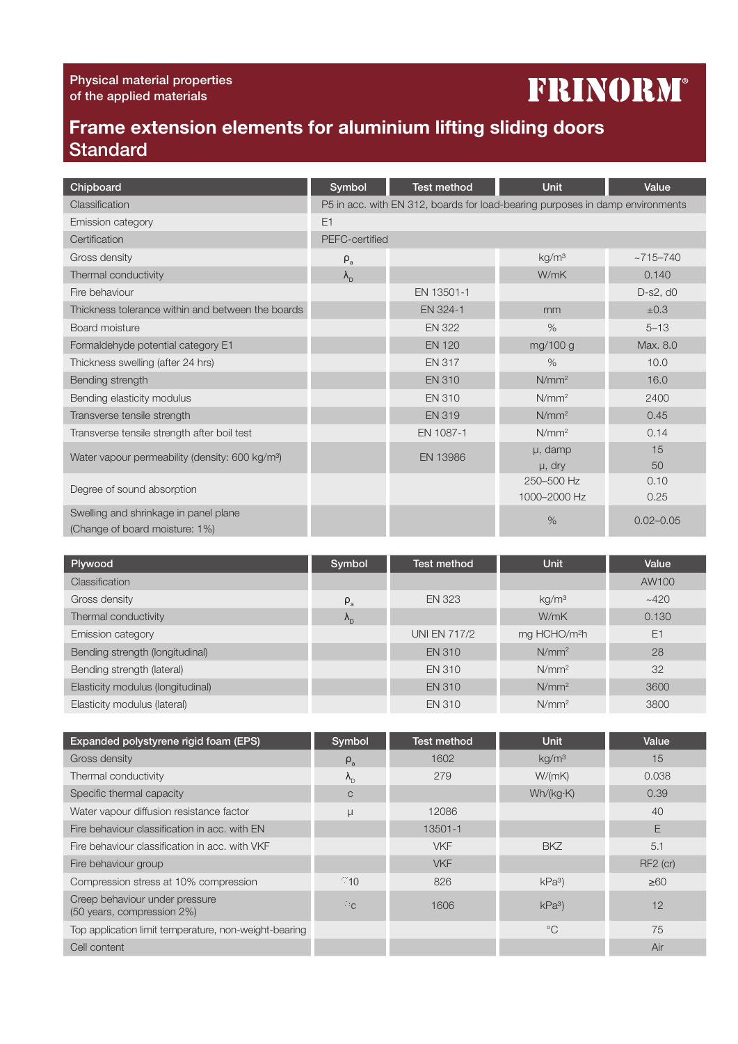## **FRINORM®**

## Frame extension elements for aluminium lifting sliding doors **Standard**

| Chipboard                                                   | Symbol            | <b>Test method</b> | Unit                                                                          | Value         |
|-------------------------------------------------------------|-------------------|--------------------|-------------------------------------------------------------------------------|---------------|
| Classification                                              |                   |                    | P5 in acc. with EN 312, boards for load-bearing purposes in damp environments |               |
| Emission category                                           | E1                |                    |                                                                               |               |
| Certification                                               | PEFC-certified    |                    |                                                                               |               |
| Gross density                                               | $\rho_a$          |                    | kg/m <sup>3</sup>                                                             | $~2715 - 740$ |
| Thermal conductivity                                        | $\lambda_{\rm D}$ |                    | W/mK                                                                          | 0.140         |
| Fire behaviour                                              |                   | EN 13501-1         |                                                                               | $D-S2, d0$    |
| Thickness tolerance within and between the boards           |                   | EN 324-1           | mm                                                                            | ±0.3          |
| Board moisture                                              |                   | <b>EN 322</b>      | $\frac{0}{0}$                                                                 | $5 - 13$      |
| Formaldehyde potential category E1                          |                   | <b>EN 120</b>      | mg/100 g                                                                      | Max. 8.0      |
| Thickness swelling (after 24 hrs)                           |                   | <b>EN 317</b>      | $\frac{0}{0}$                                                                 | 10.0          |
| Bending strength                                            |                   | <b>EN 310</b>      | N/mm <sup>2</sup>                                                             | 16.0          |
| Bending elasticity modulus                                  |                   | <b>EN 310</b>      | N/mm <sup>2</sup>                                                             | 2400          |
| Transverse tensile strength                                 |                   | <b>EN 319</b>      | N/mm <sup>2</sup>                                                             | 0.45          |
| Transverse tensile strength after boil test                 |                   | EN 1087-1          | N/mm <sup>2</sup>                                                             | 0.14          |
| Water vapour permeability (density: 600 kg/m <sup>3</sup> ) |                   | EN 13986           | $\mu$ , damp                                                                  | 15            |
|                                                             |                   |                    | $\mu$ , dry                                                                   | 50            |
| Degree of sound absorption                                  |                   |                    | 250-500 Hz                                                                    | 0.10          |
|                                                             |                   |                    | 1000-2000 Hz                                                                  | 0.25          |
| Swelling and shrinkage in panel plane                       |                   |                    | $\%$                                                                          | $0.02 - 0.05$ |
| (Change of board moisture: 1%)                              |                   |                    |                                                                               |               |

| Plywood                           | Symbol            | Test method         | <b>Unit</b>              | Value |
|-----------------------------------|-------------------|---------------------|--------------------------|-------|
| <b>Classification</b>             |                   |                     |                          | AW100 |
| Gross density                     | $P_{a}$           | <b>EN 323</b>       | kg/m <sup>3</sup>        | ~1420 |
| Thermal conductivity              | $\Lambda_{\rm D}$ |                     | W/mK                     | 0.130 |
| Emission category                 |                   | <b>UNI EN 717/2</b> | mg HCHO/m <sup>2</sup> h | E1    |
| Bending strength (longitudinal)   |                   | <b>EN 310</b>       | $N/mm^2$                 | 28    |
| Bending strength (lateral)        |                   | <b>EN 310</b>       | N/mm <sup>2</sup>        | 32    |
| Elasticity modulus (longitudinal) |                   | <b>EN 310</b>       | N/mm <sup>2</sup>        | 3600  |
| Elasticity modulus (lateral)      |                   | <b>EN 310</b>       | N/mm <sup>2</sup>        | 3800  |

| Expanded polystyrene rigid foam (EPS)                        | Symbol            | <b>Test method</b> | <b>Unit</b>       | Value                |
|--------------------------------------------------------------|-------------------|--------------------|-------------------|----------------------|
| Gross density                                                | $\rho_a$          | 1602               | kq/m <sup>3</sup> | 15                   |
| Thermal conductivity                                         | $\Lambda_{\rm D}$ | 279                | W/(mK)            | 0.038                |
| Specific thermal capacity                                    | $\mathsf{C}$      |                    | Wh/(kg·K)         | 0.39                 |
| Water vapour diffusion resistance factor                     |                   | 12086              |                   | 40                   |
| Fire behaviour classification in acc. with EN                |                   | 13501-1            |                   | E                    |
| Fire behaviour classification in acc. with VKF               |                   | <b>VKF</b>         | <b>BKZ</b>        | 5.1                  |
| Fire behaviour group                                         |                   | <b>VKF</b>         |                   | RF <sub>2</sub> (cr) |
| Compression stress at 10% compression                        | 010               | 826                | kPa <sup>3</sup>  | $\geq 60$            |
| Creep behaviour under pressure<br>(50 years, compression 2%) | $\sigma_{\rm G}$  | 1606               | kPa <sup>3</sup>  | 12                   |
| Top application limit temperature, non-weight-bearing        |                   |                    | $^{\circ}C$       | 75                   |
| Cell content                                                 |                   |                    |                   | Air                  |